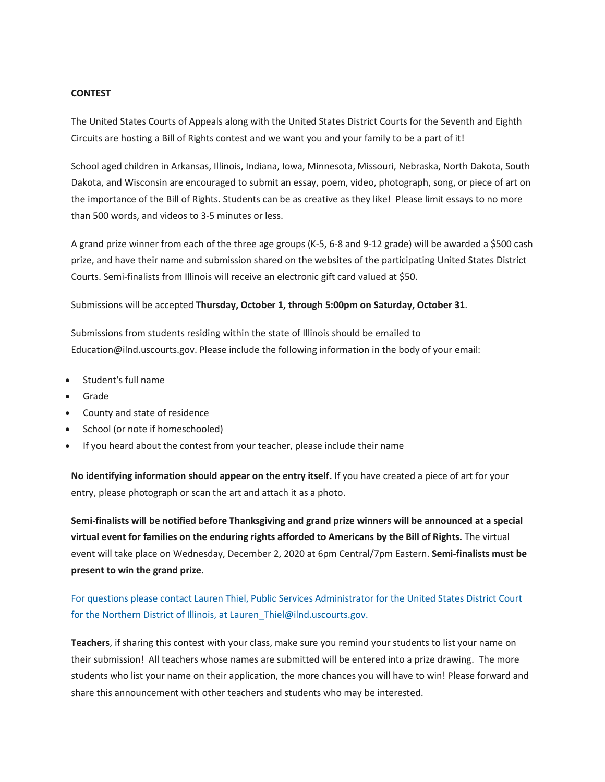### **CONTEST**

The United States Courts of Appeals along with the United States District Courts for the Seventh and Eighth Circuits are hosting a Bill of Rights contest and we want you and your family to be a part of it!

School aged children in Arkansas, Illinois, Indiana, Iowa, Minnesota, Missouri, Nebraska, North Dakota, South Dakota, and Wisconsin are encouraged to submit an essay, poem, video, photograph, song, or piece of art on the importance of the Bill of Rights. Students can be as creative as they like! Please limit essays to no more than 500 words, and videos to 3-5 minutes or less.

A grand prize winner from each of the three age groups (K-5, 6-8 and 9-12 grade) will be awarded a \$500 cash prize, and have their name and submission shared on the websites of the participating United States District Courts. Semi-finalists from Illinois will receive an electronic gift card valued at \$50.

### Submissions will be accepted **Thursday, October 1, through 5:00pm on Saturday, October 31**.

Submissions from students residing within the state of Illinois should be emailed to Education@ilnd.uscourts.gov. Please include the following information in the body of your email:

- Student's full name
- Grade
- County and state of residence
- School (or note if homeschooled)
- If you heard about the contest from your teacher, please include their name

**No identifying information should appear on the entry itself.** If you have created a piece of art for your entry, please photograph or scan the art and attach it as a photo.

**Semi-finalists will be notified before Thanksgiving and grand prize winners will be announced at a special virtual event for families on the enduring rights afforded to Americans by the Bill of Rights.** The virtual event will take place on Wednesday, December 2, 2020 at 6pm Central/7pm Eastern. **Semi-finalists must be present to win the grand prize.**

# For questions please contact Lauren Thiel, Public Services Administrator for the United States District Court for the Northern District of Illinois, at Lauren\_Thiel@ilnd.uscourts.gov.

**Teachers**, if sharing this contest with your class, make sure you remind your students to list your name on their submission! All teachers whose names are submitted will be entered into a prize drawing. The more students who list your name on their application, the more chances you will have to win! Please forward and share this announcement with other teachers and students who may be interested.